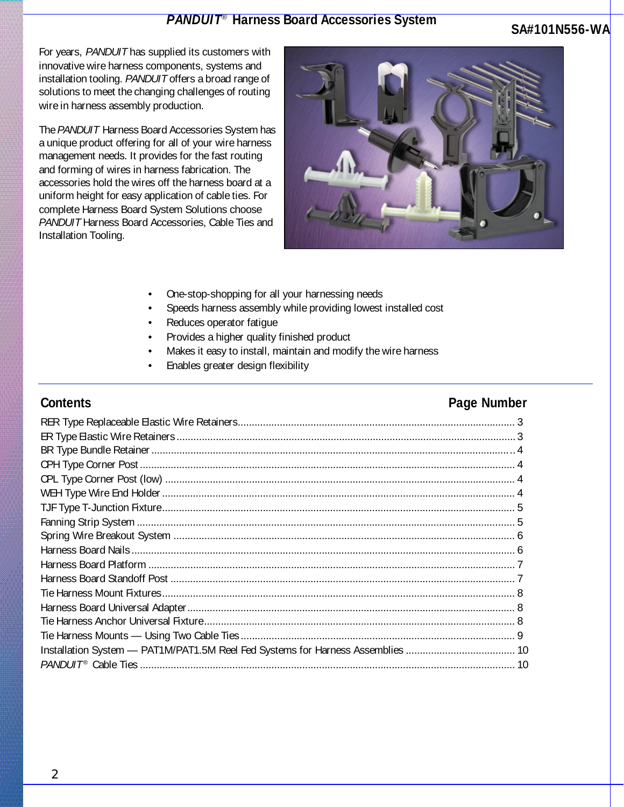### *PANDUIT*® **Harness Board Accessories System**

### **SA#101N556-WA**

For years, *PANDUIT* has supplied its customers with innovative wire harness components, systems and installation tooling. *PANDUIT* offers a broad range of solutions to meet the changing challenges of routing wire in harness assembly production.

The *PANDUIT* Harness Board Accessories System has a unique product offering for all of your wire harness management needs. It provides for the fast routing and forming of wires in harness fabrication. The accessories hold the wires off the harness board at a uniform height for easy application of cable ties. For complete Harness Board System Solutions choose *PANDUIT* Harness Board Accessories, Cable Ties and Installation Tooling.



- One-stop-shopping for all your harnessing needs
- Speeds harness assembly while providing lowest installed cost
- Reduces operator fatigue
- Provides a higher quality finished product
- Makes it easy to install, maintain and modify the wire harness
- Enables greater design flexibility

### **Contents Page Number**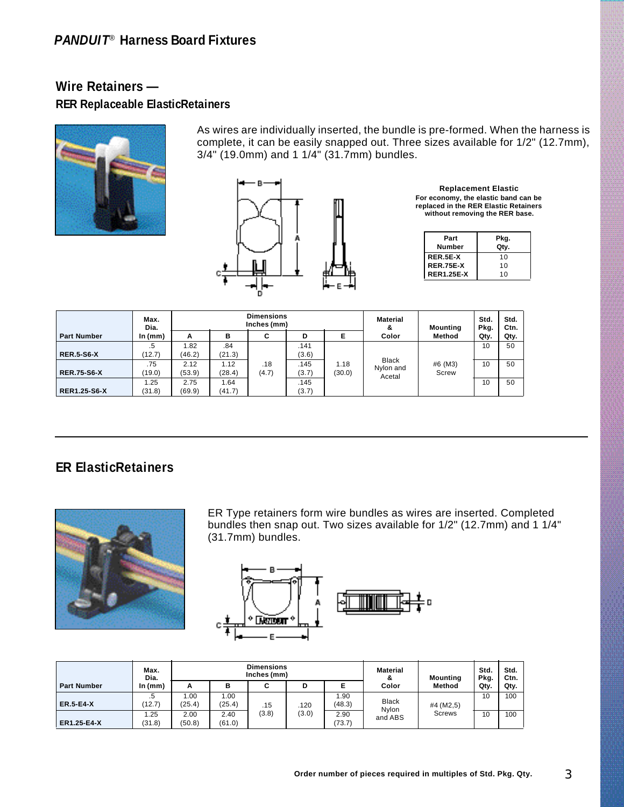# *PANDUIT*® **Harness Board Fixtures**

# **Wire Retainers — RER Replaceable ElasticRetainers**



As wires are individually inserted, the bundle is pre-formed. When the harness is complete, it can be easily snapped out. Three sizes available for 1/2" (12.7mm), 3/4" (19.0mm) and 1 1/4" (31.7mm) bundles.



**Replacement Elastic For economy, the elastic band can be replaced in the RER Elastic Retainers without removing the RER base.**

| Part<br>Number    | Pkg.<br>Qty. |
|-------------------|--------------|
| RER.5E-X          | 10           |
| <b>RER.75E-X</b>  | 10           |
| <b>RER1.25E-X</b> | 10           |

|                     | Max.<br>Dia.  |                | <b>Dimensions</b><br>Inches (mm) |              |               |                |                                     | Mounting         | Std.<br>Pkg. | Std.<br>Ctn. |
|---------------------|---------------|----------------|----------------------------------|--------------|---------------|----------------|-------------------------------------|------------------|--------------|--------------|
| <b>Part Number</b>  | In $(mm)$     | A              | в                                | C            | D             | Е              | Color                               | Method           | Qtv.         | Qty.         |
| <b>RER.5-S6-X</b>   | .5<br>(12.7)  | 1.82<br>(46.2) | .84<br>(21.3)                    |              | .141<br>(3.6) |                |                                     |                  | 10           | 50           |
| <b>RER.75-S6-X</b>  | .75<br>(19.0) | 2.12<br>(53.9) | 1.12<br>(28.4)                   | .18<br>(4.7) | .145<br>(3.7) | 1.18<br>(30.0) | <b>Black</b><br>Nylon and<br>Acetal | #6 (M3)<br>Screw | 10           | 50           |
| <b>RER1.25-S6-X</b> | .25<br>(31.8) | 2.75<br>(69.9) | 1.64<br>(41.7)                   |              | .145<br>(3.7) |                |                                     |                  | 10           | 50           |

# **ER ElasticRetainers**



ER Type retainers form wire bundles as wires are inserted. Completed bundles then snap out. Two sizes available for 1/2" (12.7mm) and 1 1/4" (31.7mm) bundles.



|                    | Max.<br>Dia.  | <b>Dimensions</b><br>Inches (mm) |                |       |       |                | <b>Material</b><br>o. | <b>Mounting</b> | Std.<br>Pkg. | Std.<br>Ctn. |
|--------------------|---------------|----------------------------------|----------------|-------|-------|----------------|-----------------------|-----------------|--------------|--------------|
| <b>Part Number</b> | In $(mm)$     | А                                | в              | С     | D     | Е              | Color                 | <b>Method</b>   | Qty.         | Qty.         |
| <b>ER.5-E4-X</b>   | .5<br>(12.7)  | 1.00<br>(25.4)                   | .00.<br>(25.4) | .15   | .120  | 1.90<br>(48.3) | <b>Black</b><br>Nvlon | #4 (M2,5)       | 10           | 100          |
| <b>ER1.25-E4-X</b> | .25<br>(31.8) | 2.00<br>(50.8)                   | 2.40<br>(61.0) | (3.8) | (3.0) | 2.90<br>(73.7) | and ABS               | <b>Screws</b>   | 10           | 100          |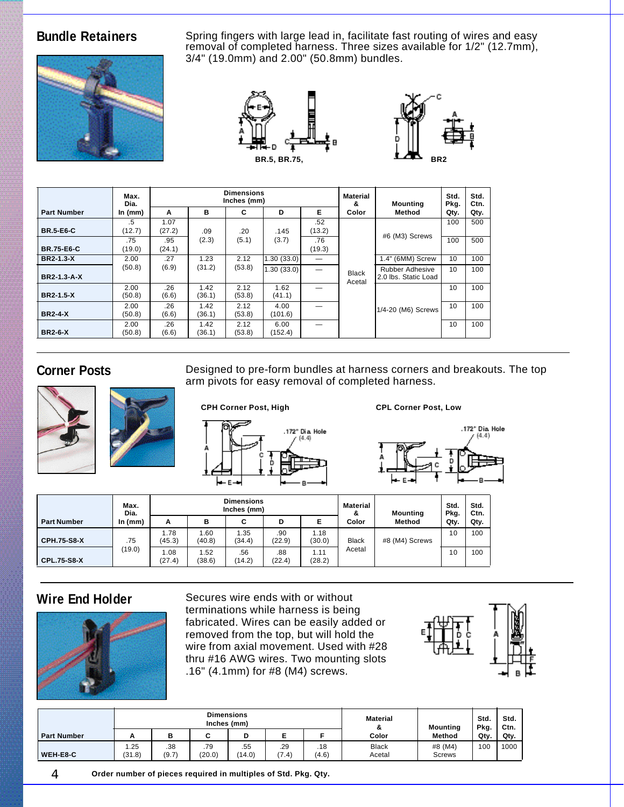

**Bundle Retainers** Spring fingers with large lead in, facilitate fast routing of wires and easy removal of completed harness. Three sizes available for 1/2" (12.7mm), 3/4" (19.0mm) and 2.00" (50.8mm) bundles.





|                    | Max.<br>Dia.   |                |                | <b>Dimensions</b><br>Inches (mm) |                 |               | Material<br>&          | <b>Mounting</b>                                | Std.<br>Pkg. | Std.<br>Ctn. |
|--------------------|----------------|----------------|----------------|----------------------------------|-----------------|---------------|------------------------|------------------------------------------------|--------------|--------------|
| <b>Part Number</b> | In $(mm)$      | A              | в              | C                                | D               | E.            | Color                  | Method                                         | Qty.         | Qty.         |
| <b>BR.5-E6-C</b>   | .5<br>(12.7)   | 1.07<br>(27.2) | .09            | .20                              | .145            | .52<br>(13.2) |                        | #6 (M3) Screws                                 | 100          | 500          |
| <b>BR.75-E6-C</b>  | .75<br>(19.0)  | .95<br>(24.1)  | (2.3)          | (5.1)                            | (3.7)           | .76<br>(19.3) |                        |                                                | 100          | 500          |
| <b>BR2-1.3-X</b>   | 2.00           | .27            | 1.23           | 2.12                             | 1.30 (33.0)     |               |                        | 1.4" (6MM) Screw                               | 10           | 100          |
| <b>BR2-1.3-A-X</b> | (50.8)         | (6.9)          | (31.2)         | (53.8)                           | 1.30(33.0)      |               | <b>Black</b><br>Acetal | <b>Rubber Adhesive</b><br>2.0 lbs. Static Load | 10           | 100          |
| <b>BR2-1.5-X</b>   | 2.00<br>(50.8) | .26<br>(6.6)   | 1.42<br>(36.1) | 2.12<br>(53.8)                   | 1.62<br>(41.1)  |               |                        |                                                | 10           | 100          |
| <b>BR2-4-X</b>     | 2.00<br>(50.8) | .26<br>(6.6)   | 1.42<br>(36.1) | 2.12<br>(53.8)                   | 4.00<br>(101.6) |               |                        | 1/4-20 (M6) Screws                             | 10           | 100          |
| <b>BR2-6-X</b>     | 2.00<br>(50.8) | .26<br>(6.6)   | 1.42<br>(36.1) | 2.12<br>(53.8)                   | 6.00<br>(152.4) |               |                        |                                                | 10           | 100          |





**Corner Posts** Designed to pre-form bundles at harness corners and breakouts. The top arm pivots for easy removal of completed harness.





|                    | Max.<br>Dia. |                |                | <b>Dimensions</b><br>Inches (mm) |               | Material<br>&  | Mounting               | Std.<br>Pkg.   | Std.<br>Ctn. |      |
|--------------------|--------------|----------------|----------------|----------------------------------|---------------|----------------|------------------------|----------------|--------------|------|
| <b>Part Number</b> | ln(mm)       | А              | в              | C                                | D             | E              | Color                  | Method         | Qty.         | Qty. |
| <b>CPH.75-S8-X</b> | .75          | 1.78<br>(45.3) | 1.60<br>(40.8) | 1.35<br>(34.4)                   | .90<br>(22.9) | 1.18<br>(30.0) | <b>Black</b><br>Acetal | #8 (M4) Screws | 10           | 100  |
| <b>CPL.75-S8-X</b> | (19.0)       | 1.08<br>(27.4) | 1.52<br>(38.6) | .56<br>(14.2)                    | .88<br>(22.4) | 1.11<br>(28.2) |                        |                | 10           | 100  |



**Wire End Holder** Secures wire ends with or without terminations while harness is being fabricated. Wires can be easily added or removed from the top, but will hold the wire from axial movement. Used with #28 thru #16 AWG wires. Two mounting slots .16" (4.1mm) for #8 (M4) screws.



|                    |                |              | <b>Dimensions</b><br>Inches (mm) |               | <b>Material</b><br>& | <b>Mounting</b> | Std.<br>Pkg.           | Std.<br>Ctn.      |      |      |
|--------------------|----------------|--------------|----------------------------------|---------------|----------------------|-----------------|------------------------|-------------------|------|------|
| <b>Part Number</b> | Α              | в            |                                  | D             | ►                    |                 | Color                  | Method            | Qty. | Qty. |
| WEH-E8-C           | 1.25<br>(31.8) | .38<br>(9.7) | .79<br>(20.0)                    | .55<br>(14.0) | .29<br>(7.4)         | .18<br>(4.6)    | <b>Black</b><br>Acetal | #8 (M4)<br>Screws | 100  | 1000 |

4 **Order number of pieces required in multiples of Std. Pkg. Qty.**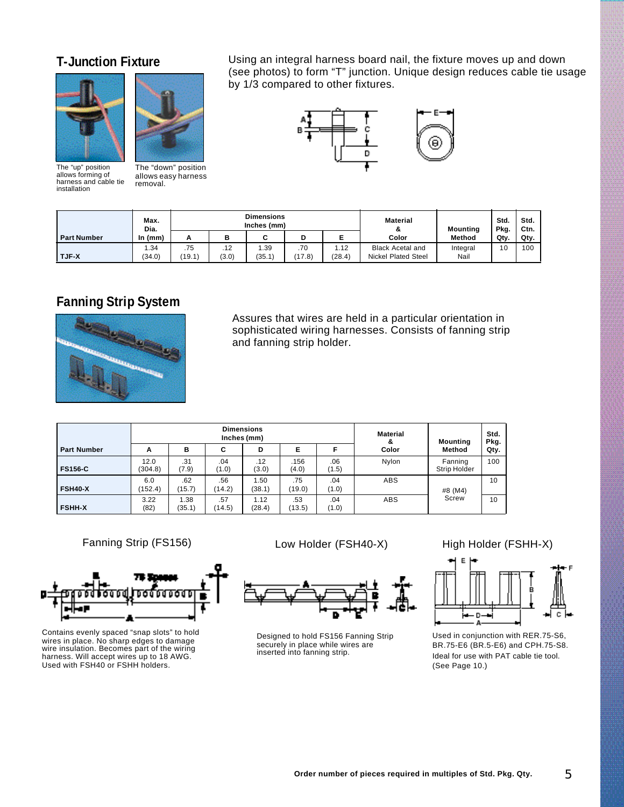



The "up" position allows forming of harness and cable tie installation

The "down" position allows easy harness removal.

**T-Junction Fixture** Using an integral harness board nail, the fixture moves up and down (see photos) to form "T" junction. Unique design reduces cable tie usage by 1/3 compared to other fixtures.



|                    | Max.<br>Dia.  |               |              | <b>Dimensions</b><br>Inches (mm) |               |                | <b>Material</b><br>о.                                 | <b>Mounting</b>  | Std.<br>Pkg. | Std.<br>Ctn. |
|--------------------|---------------|---------------|--------------|----------------------------------|---------------|----------------|-------------------------------------------------------|------------------|--------------|--------------|
| <b>Part Number</b> | In $(mm)$     | А             | в            | r                                | D             | ►              | Color                                                 | <b>Method</b>    | Qty.         | Qtv.         |
| <b>TJF-X</b>       | .34<br>(34.0) | .75<br>(19.1) | .12<br>(3.0) | .39<br>(35.1)                    | .70<br>(17.8) | 1.12<br>(28.4) | <b>Black Acetal and</b><br><b>Nickel Plated Steel</b> | Integral<br>Nail | 10           | 100          |

# **Fanning Strip System**



Assures that wires are held in a particular orientation in sophisticated wiring harnesses. Consists of fanning strip and fanning strip holder.

|                    |                 |                |               | <b>Dimensions</b><br>Inches (mm) |               |              | <b>Material</b><br>& | <b>Mounting</b>         | Std.<br>Pkg. |  |
|--------------------|-----------------|----------------|---------------|----------------------------------|---------------|--------------|----------------------|-------------------------|--------------|--|
| <b>Part Number</b> | A               | в              | C             | D                                | Е             | F            | Color                | Method                  | Qty.         |  |
| <b>FS156-C</b>     | 12.0<br>(304.8) | .31<br>(7.9)   | .04<br>(1.0)  | .12<br>(3.0)                     | .156<br>(4.0) | .06<br>(1.5) | Nylon                | Fanning<br>Strip Holder | 100          |  |
| <b>FSH40-X</b>     | 6.0<br>(152.4)  | .62<br>(15.7)  | .56<br>(14.2) | 1.50<br>(38.1)                   | .75<br>(19.0) | .04<br>(1.0) | <b>ABS</b>           | #8 (M4)                 | 10           |  |
| <b>FSHH-X</b>      | 3.22<br>(82)    | 1.38<br>(35.1) | .57<br>(14.5) | 1.12<br>(28.4)                   | .53<br>(13.5) | .04<br>(1.0) | <b>ABS</b>           | Screw                   | 10           |  |

Fanning Strip (FS156)



Contains evenly spaced "snap slots" to hold wires in place. No sharp edges to damage wire insulation. Becomes part of the wiring harness. Will accept wires up to 18 AWG. Used with FSH40 or FSHH holders.

Low Holder (FSH40-X)



Designed to hold FS156 Fanning Strip securely in place while wires are inserted into fanning strip.

High Holder (FSHH-X)



Used in conjunction with RER.75-S6, BR.75-E6 (BR.5-E6) and CPH.75-S8. Ideal for use with PAT cable tie tool. (See Page 10.)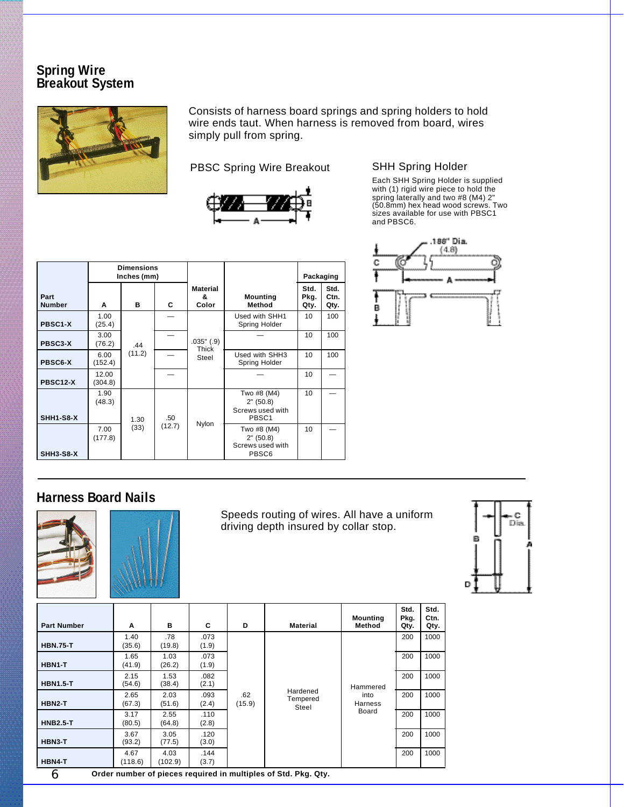### **Spring Wire Breakout System**



Consists of harness board springs and spring holders to hold wire ends taut. When harness is removed from board, wires simply pull from spring.

PBSC Spring Wire Breakout SHH Spring Holder



|                       |                  | <b>Dimensions</b><br>Inches (mm) |        |                               |                                                       | Packaging            |                      |
|-----------------------|------------------|----------------------------------|--------|-------------------------------|-------------------------------------------------------|----------------------|----------------------|
| Part<br><b>Number</b> | A                | в                                | C      | <b>Material</b><br>&<br>Color | <b>Mounting</b><br><b>Method</b>                      | Std.<br>Pkg.<br>Qty. | Std.<br>Ctn.<br>Qty. |
| PBSC1-X               | 1.00<br>(25.4)   |                                  |        |                               | Used with SHH1<br>Spring Holder                       | 10                   | 100                  |
| PBSC3-X               | 3.00<br>(76.2)   | .44                              |        | .035"(.9)<br>Thick            |                                                       | 10                   | 100                  |
| <b>PBSC6-X</b>        | 6.00<br>(152.4)  | (11.2)                           |        | Steel                         | Used with SHH3<br>Spring Holder                       | 10                   | 100                  |
| PBSC12-X              | 12.00<br>(304.8) |                                  |        |                               |                                                       | 10                   |                      |
| SHH1-S8-X             | 1.90<br>(48.3)   | 1.30                             | .50    |                               | Two #8 (M4)<br>2" (50.8)<br>Screws used with<br>PBSC1 | 10                   |                      |
| SHH3-S8-X             | 7.00<br>(177.8)  | (33)                             | (12.7) | Nylon                         | Two #8 (M4)<br>2" (50.8)<br>Screws used with<br>PBSC6 | 10                   |                      |

Each SHH Spring Holder is supplied with (1) rigid wire piece to hold the spring laterally and two #8 (M4) 2" (50.8mm) hex head wood screws. Two sizes available for use with PBSC1 and PBSC6.



## **Harness Board Nails**





Speeds routing of wires. All have a uniform driving depth insured by collar stop.



| <b>Part Number</b> | A               | в               | C             | D             | Material                                                       | <b>Mounting</b><br>Method            | Std.<br>Pkg.<br>Qty. | Std.<br>Ctn.<br>Qty. |
|--------------------|-----------------|-----------------|---------------|---------------|----------------------------------------------------------------|--------------------------------------|----------------------|----------------------|
| <b>HBN.75-T</b>    | 1.40<br>(35.6)  | .78<br>(19.8)   | .073<br>(1.9) |               |                                                                |                                      | 200                  | 1000                 |
| HBN1-T             | 1.65<br>(41.9)  | 1.03<br>(26.2)  | .073<br>(1.9) | .62<br>(15.9) |                                                                |                                      | 200                  | 1000                 |
| <b>HBN1.5-T</b>    | 2.15<br>(54.6)  | 1.53<br>(38.4)  | .082<br>(2.1) |               |                                                                | Hammered<br>into<br>Harness<br>Board | 200                  | 1000                 |
| HBN2-T             | 2.65<br>(67.3)  | 2.03<br>(51.6)  | .093<br>(2.4) |               | Hardened<br>Tempered<br>Steel                                  |                                      | 200                  | 1000                 |
| <b>HNB2.5-T</b>    | 3.17<br>(80.5)  | 2.55<br>(64.8)  | .110<br>(2.8) |               |                                                                |                                      | 200                  | 1000                 |
| HBN3-T             | 3.67<br>(93.2)  | 3.05<br>(77.5)  | .120<br>(3.0) |               |                                                                |                                      | 200                  | 1000                 |
| HBN4-T             | 4.67<br>(118.6) | 4.03<br>(102.9) | .144<br>(3.7) |               |                                                                |                                      | 200                  | 1000                 |
| 6                  |                 |                 |               |               | Order number of pieces required in multiples of Std. Pkg. Qty. |                                      |                      |                      |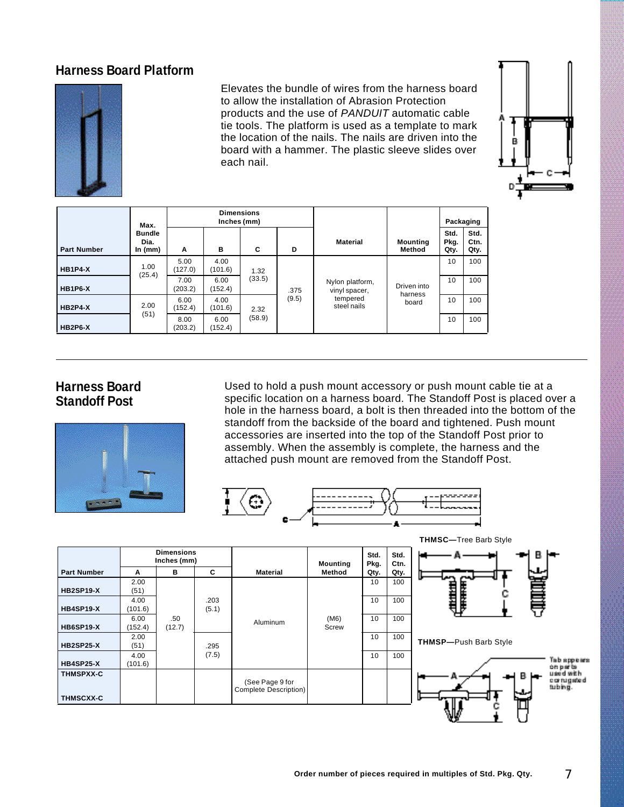### **Harness Board Platform**



Elevates the bundle of wires from the harness board to allow the installation of Abrasion Protection products and the use of *PANDUIT* automatic cable tie tools. The platform is used as a template to mark the location of the nails. The nails are driven into the board with a hammer. The plastic sleeve slides over each nail.



|                    | Max.                               | <b>Dimensions</b><br>Inches (mm) |                 |        |       |                                  |                    | Packaging            |                      |
|--------------------|------------------------------------|----------------------------------|-----------------|--------|-------|----------------------------------|--------------------|----------------------|----------------------|
| <b>Part Number</b> | <b>Bundle</b><br>Dia.<br>In $(mm)$ | A                                | в               | C      | D     | <b>Material</b>                  | Mounting<br>Method | Std.<br>Pkg.<br>Qty. | Std.<br>Ctn.<br>Qty. |
| <b>HB1P4-X</b>     | 1.00<br>(25.4)                     | 5.00<br>(127.0)                  | 4.00<br>(101.6) | 1.32   |       |                                  |                    | 10                   | 100                  |
| <b>HB1P6-X</b>     |                                    | 7.00<br>(203.2)                  | 6.00<br>(152.4) | (33.5) | .375  | Nylon platform,<br>vinyl spacer, | Driven into        | 10                   | 100                  |
| <b>HB2P4-X</b>     | 2.00                               | 6.00<br>(152.4)                  | 4.00<br>(101.6) | 2.32   | (9.5) | tempered<br>steel nails          | harness<br>board   | 10                   | 100                  |
| <b>HB2P6-X</b>     | (51)                               | 8.00<br>(203.2)                  | 6.00<br>(152.4) | (58.9) |       |                                  |                    | 10                   | 100                  |

### **Harness Board Standoff Post**



Used to hold a push mount accessory or push mount cable tie at a specific location on a harness board. The Standoff Post is placed over a hole in the harness board, a bolt is then threaded into the bottom of the standoff from the backside of the board and tightened. Push mount accessories are inserted into the top of the Standoff Post prior to assembly. When the assembly is complete, the harness and the attached push mount are removed from the Standoff Post.

**THMSC—**Tree Barb Style



**Dimensions Std. Std. Inches (mm) Mounting Pkg. Ctn. Part Number Method Qty. Material A B C Qty.** 2.00  $10$  100 目 **HB2SP19-X** (51) 4.00 .203 10 100 **HB4SP19-X**  $(101.6)$ (5.1) 6.00 .50 Aluminum (M6) 10 100 **HB6SP19-X** (152.4) (12.7) **Screw**  $\frac{2.00}{(51)}$ 10 100 **THMSP—**Push Barb Style **HB2SP25-X** .295 4.00 (7.5) 10 100 Tab appears **HB4SP25-X** (101.6) on parts<br>used with **THMSPXX-C** ocyrugated (See Page 9 for tubing. Complete Description) **THMSCXX-C**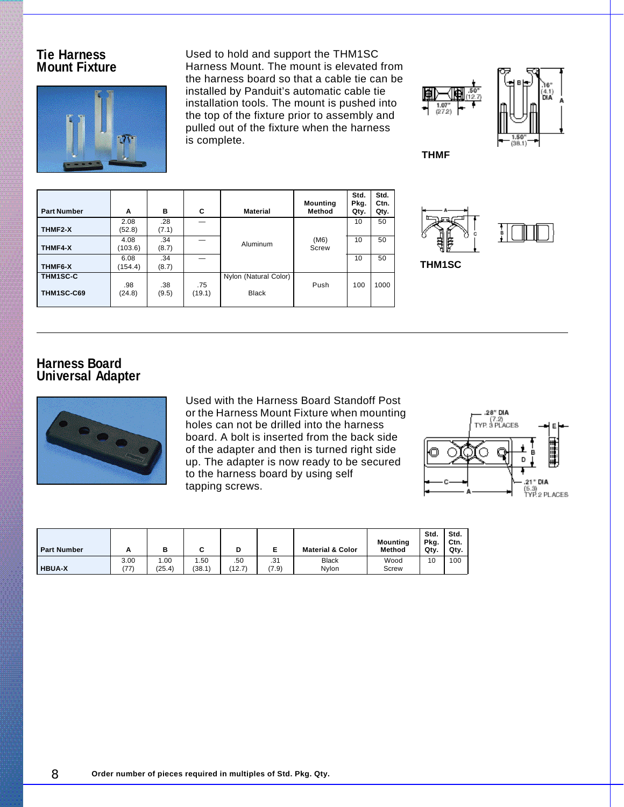### **Tie Harness Mount Fixture**

**THMF2-X**

**THMF4-X**

**THMF6-X**

**THM1SC-C THM1SC-C69**



**Part Number A B C Material**

.28 (7.1)

.34 (8.7)

.34 (8.7)

.38 (9.5) —

.75 (19.1)

2.08 (52.8)

4.08 (103.6)

6.08 (154.4)

.98 (24.8) Used to hold and support the THM1SC Harness Mount. The mount is elevated from the harness board so that a cable tie can be installed by Panduit's automatic cable tie installation tools. The mount is pushed into the top of the fixture prior to assembly and pulled out of the fixture when the harness is complete.

Aluminum (M6) — 10 50

— 10 50

Nylon (Natural Color) Black

**Mounting Method**

Screw

**Std. Pkg. Qty.**

Push 100 1000

10 50

**Std. Ctn. Qty.**



**THMF**

**THM1SC**



### **Harness Board Universal Adapter**



Used with the Harness Board Standoff Post or the Harness Mount Fixture when mounting holes can not be drilled into the harness board. A bolt is inserted from the back side of the adapter and then is turned right side up. The adapter is now ready to be secured to the harness board by using self tapping screws.



| <b>Part Number</b> | -            | в              |               |               | -            | <b>Material &amp; Color</b> | <b>Mounting</b><br><b>Method</b> | Std.<br>Pka.<br>Qty. | Std.<br>Ctn.<br>Qty. |
|--------------------|--------------|----------------|---------------|---------------|--------------|-----------------------------|----------------------------------|----------------------|----------------------|
| <b>HBUA-X</b>      | 3.00<br>(77) | 1.00<br>(25.4) | .50<br>(38.1) | .50<br>(12.7) | .31<br>(7.9) | <b>Black</b><br>Nvlon       | Wood<br>Screw                    | 10                   | 100                  |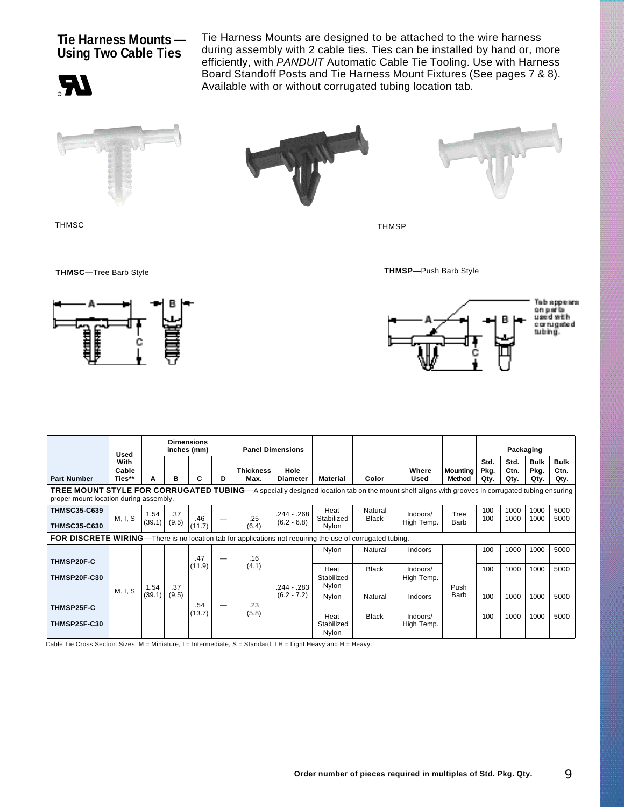### **Tie Harness Mounts — Using Two Cable Ties**

**RI** 

Tie Harness Mounts are designed to be attached to the wire harness during assembly with 2 cable ties. Ties can be installed by hand or, more efficiently, with *PANDUIT* Automatic Cable Tie Tooling. Use with Harness Board Standoff Posts and Tie Harness Mount Fixtures (See pages 7 & 8). Available with or without corrugated tubing location tab.







**THMSC—**Tree Barb Style **THMSP—**Push Barb Style



THMSC THMSP





|                                                                                                                                                                                                 | <b>Used</b>                                                                                                       | <b>Dimensions</b><br>inches (mm) |              | <b>Panel Dimensions</b> |   |                   |                                |                             |                         |                        | Packaging                 |                      |                      |                             |                             |
|-------------------------------------------------------------------------------------------------------------------------------------------------------------------------------------------------|-------------------------------------------------------------------------------------------------------------------|----------------------------------|--------------|-------------------------|---|-------------------|--------------------------------|-----------------------------|-------------------------|------------------------|---------------------------|----------------------|----------------------|-----------------------------|-----------------------------|
| <b>Part Number</b>                                                                                                                                                                              | With<br>Cable<br>Ties**                                                                                           | А                                | в            | C                       | D | Thickness<br>Max. | Hole<br>Diameter               | Material                    | Color                   | Where<br>Used          | <b>Mounting</b><br>Method | Std.<br>Pkg.<br>Qty. | Std.<br>Ctn.<br>Qty. | <b>Bulk</b><br>Pkg.<br>Qty. | <b>Bulk</b><br>Ctn.<br>Qty. |
| <b>TREE MOUNT STYLE FOR CORRUGATED TUBING</b> —A specially designed location tab on the mount shelf aligns with grooves in corrugated tubing ensuring<br>proper mount location during assembly. |                                                                                                                   |                                  |              |                         |   |                   |                                |                             |                         |                        |                           |                      |                      |                             |                             |
| <b>THMSC35-C639</b><br><b>THMSC35-C630</b>                                                                                                                                                      | M, I, S                                                                                                           | 1.54<br>(39.1)                   | .37<br>(9.5) | .46<br>(11.7)           |   | .25<br>(6.4)      | $.244 - .268$<br>$(6.2 - 6.8)$ | Heat<br>Stabilized<br>Nvlon | Natural<br><b>Black</b> | Indoors/<br>High Temp. | Tree<br>Barb              | 100<br>100           | 1000<br>1000         | 1000<br>1000                | 5000<br>5000                |
|                                                                                                                                                                                                 | <b>FOR DISCRETE WIRING</b> —There is no location tab for applications not requiring the use of corrugated tubing. |                                  |              |                         |   |                   |                                |                             |                         |                        |                           |                      |                      |                             |                             |
| <b>THMSP20F-C</b>                                                                                                                                                                               |                                                                                                                   |                                  |              | .47                     |   | .16               |                                | Nylon                       | Natural                 | Indoors                |                           | 100                  | 1000                 | 1000                        | 5000                        |
| <b>THMSP20F-C30</b>                                                                                                                                                                             | M, I, S                                                                                                           | 1.54<br>(39.1)                   | .37<br>(9.5) | (11.9)                  |   | (4.1)             | $.244 - .283$<br>$(6.2 - 7.2)$ | Heat<br>Stabilized<br>Nylon | Black                   | Indoors/<br>High Temp. | Push<br>Barb              | 100                  | 1000                 | 1000                        | 5000                        |
| <b>THMSP25F-C</b>                                                                                                                                                                               |                                                                                                                   |                                  |              | .54                     |   | .23               |                                | Nylon                       | Natural                 | Indoors                |                           | 100                  | 1000                 | 1000                        | 5000                        |
| <b>THMSP25F-C30</b>                                                                                                                                                                             |                                                                                                                   |                                  |              | (13.7)                  |   | (5.8)             |                                | Heat<br>Stabilized<br>Nylon | <b>Black</b>            | Indoors/<br>High Temp. |                           | 100                  | 1000                 | 1000                        | 5000                        |

Cable Tie Cross Section Sizes: M = Miniature, I = Intermediate, S = Standard, LH = Light Heavy and H = Heavy.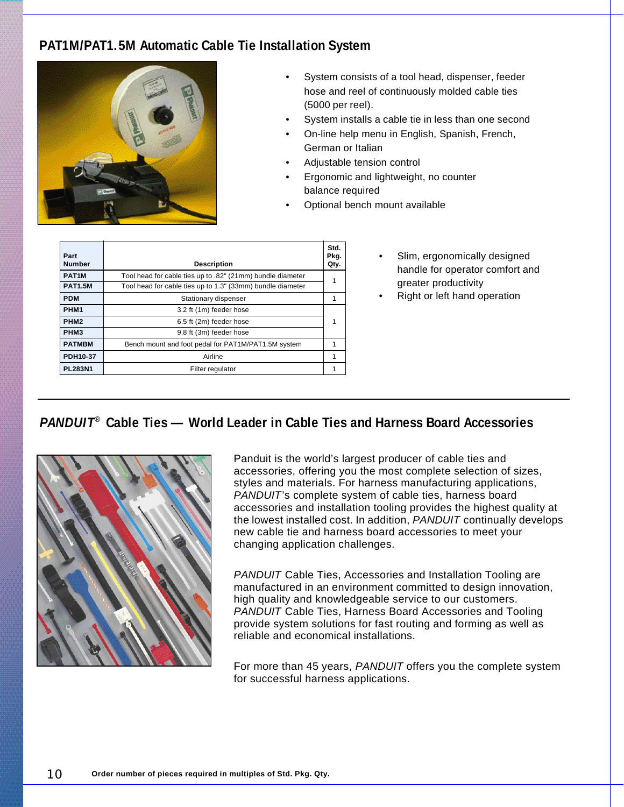# **PAT1M/PAT1.5M Automatic Cable Tie Installation System**



- System consists of a tool head, dispenser, feeder hose and reel of continuously molded cable ties (5000 per reel).
- System installs a cable tie in less than one second
- On-line help menu in English, Spanish, French, German or Italian
- Adjustable tension control
- Ergonomic and lightweight, no counter balance required
- Optional bench mount available

| Part<br><b>Number</b> | <b>Description</b>                                         | Std.<br>Pkg.<br>Qty. |
|-----------------------|------------------------------------------------------------|----------------------|
| PAT <sub>1</sub> M    | Tool head for cable ties up to .82" (21mm) bundle diameter | 1                    |
| <b>PAT1.5M</b>        | Tool head for cable ties up to 1.3" (33mm) bundle diameter |                      |
| <b>PDM</b>            | Stationary dispenser                                       |                      |
| PHM <sub>1</sub>      | 3.2 ft (1m) feeder hose                                    |                      |
| PHM <sub>2</sub>      | 6.5 ft (2m) feeder hose                                    |                      |
| PHM <sub>3</sub>      | 9.8 ft (3m) feeder hose                                    |                      |
| <b>PATMBM</b>         | Bench mount and foot pedal for PAT1M/PAT1.5M system        |                      |
| PDH10-37              | Airline                                                    |                      |
| <b>PL283N1</b>        | Filter regulator                                           |                      |

- Slim, ergonomically designed handle for operator comfort and greater productivity
	- Right or left hand operation

## *PANDUIT*®  **Cable Ties — World Leader in Cable Ties and Harness Board Accessories**



Panduit is the world's largest producer of cable ties and accessories, offering you the most complete selection of sizes, styles and materials. For harness manufacturing applications, *PANDUIT*'s complete system of cable ties, harness board accessories and installation tooling provides the highest quality at the lowest installed cost. In addition, *PANDUIT* continually develops new cable tie and harness board accessories to meet your changing application challenges.

*PANDUIT* Cable Ties, Accessories and Installation Tooling are manufactured in an environment committed to design innovation, high quality and knowledgeable service to our customers. *PANDUIT* Cable Ties, Harness Board Accessories and Tooling provide system solutions for fast routing and forming as well as reliable and economical installations.

For more than 45 years, *PANDUIT* offers you the complete system for successful harness applications.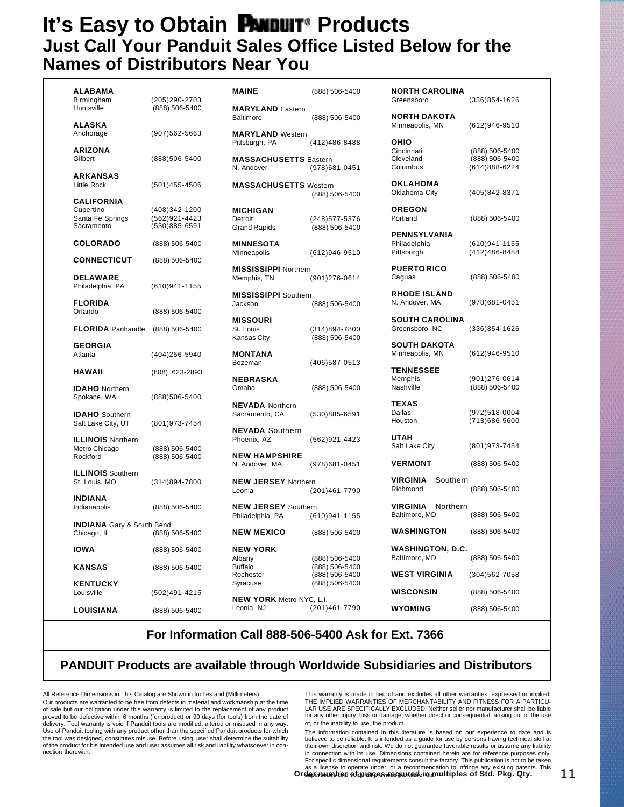# **It's Easy to Obtain PANDUIT**<sup>®</sup> Products **Just Call Your Panduit Sales Office Listed Below for the Names of Distributors Near You**

| <b>ALABAMA</b><br>Birmingham     | (205)290-2703     | <b>MAINE</b>                                | (888) 506-5400    | <b>NORTH CAROLINA</b><br>Greensboro | $(336)854 - 1626$ |
|----------------------------------|-------------------|---------------------------------------------|-------------------|-------------------------------------|-------------------|
| Huntsville                       | (888) 506-5400    | <b>MARYLAND</b> Eastern<br><b>Baltimore</b> | (888) 506-5400    | <b>NORTH DAKOTA</b>                 |                   |
| <b>ALASKA</b>                    |                   |                                             |                   | Minneapolis, MN                     | $(612)946 - 9510$ |
| Anchorage                        | $(907)562 - 5663$ | <b>MARYLAND</b> Western                     |                   |                                     |                   |
|                                  |                   | Pittsburgh, PA                              | (412)486-8488     | OHIO                                |                   |
| <b>ARIZONA</b>                   |                   |                                             |                   | Cincinnati                          | (888) 506-5400    |
| Gilbert                          | (888) 506-5400    | <b>MASSACHUSETTS Eastern</b>                |                   | Cleveland                           | (888) 506-5400    |
|                                  |                   | N. Andover                                  | (978)681-0451     | Columbus                            | $(614)888 - 6224$ |
| <b>ARKANSAS</b>                  |                   |                                             |                   | <b>OKLAHOMA</b>                     |                   |
| <b>Little Rock</b>               | $(501)455 - 4506$ | <b>MASSACHUSETTS</b> Western                |                   |                                     |                   |
|                                  |                   |                                             | (888) 506-5400    | Oklahoma City                       | (405)842-8371     |
| <b>CALIFORNIA</b>                |                   |                                             |                   |                                     |                   |
| Cupertino                        | (408)342-1200     | <b>MICHIGAN</b>                             |                   | <b>OREGON</b>                       |                   |
| Santa Fe Springs<br>Sacramento   | (562)921-4423     | Detroit                                     | (248) 577-5376    | Portland                            | (888) 506-5400    |
|                                  | $(530)885 - 6591$ | <b>Grand Rapids</b>                         | (888) 506-5400    |                                     |                   |
|                                  |                   |                                             |                   | <b>PENNSYLVANIA</b>                 |                   |
| <b>COLORADO</b>                  | (888) 506-5400    | <b>MINNESOTA</b>                            |                   | Philadelphia                        | $(610)941 - 1155$ |
|                                  |                   | Minneapolis                                 | $(612)946 - 9510$ | Pittsburgh                          | (412) 486-8488    |
| <b>CONNECTICUT</b>               | (888) 506-5400    |                                             |                   |                                     |                   |
|                                  |                   | <b>MISSISSIPPI Northern</b>                 |                   | <b>PUERTO RICO</b>                  |                   |
| <b>DELAWARE</b>                  |                   | Memphis, TN                                 | $(901)276 - 0614$ | Caguas                              | (888) 506-5400    |
| Philadelphia, PA                 | $(610)941 - 1155$ |                                             |                   |                                     |                   |
|                                  |                   | <b>MISSISSIPPI</b> Southern                 |                   | <b>RHODE ISLAND</b>                 |                   |
| <b>FLORIDA</b>                   |                   | Jackson                                     | (888) 506-5400    | N. Andover, MA                      | $(978)681 - 0451$ |
| Orlando                          | (888) 506-5400    |                                             |                   |                                     |                   |
|                                  |                   | <b>MISSOURI</b>                             |                   | <b>SOUTH CAROLINA</b>               |                   |
| <b>FLORIDA</b> Panhandle         | (888) 506-5400    | St. Louis                                   | $(314)894 - 7800$ | Greensboro, NC                      | $(336)854 - 1626$ |
|                                  |                   | <b>Kansas City</b>                          | (888) 506-5400    |                                     |                   |
| <b>GEORGIA</b>                   |                   |                                             |                   | <b>SOUTH DAKOTA</b>                 |                   |
| Atlanta                          | (404)256-5940     | <b>MONTANA</b>                              |                   | Minneapolis, MN                     | $(612)946 - 9510$ |
|                                  |                   | Bozeman                                     | (406)587-0513     |                                     |                   |
| <b>HAWAII</b>                    | (808) 623-2893    |                                             |                   | <b>TENNESSEE</b>                    |                   |
|                                  |                   | <b>NEBRASKA</b>                             |                   | Memphis                             | $(901)276 - 0614$ |
| <b>IDAHO</b> Northern            |                   | Omaha                                       | (888) 506-5400    | Nashville                           | (888) 506-5400    |
| Spokane, WA                      | (888) 506-5400    |                                             |                   |                                     |                   |
|                                  |                   | <b>NEVADA</b> Northern                      |                   | <b>TEXAS</b>                        |                   |
| <b>IDAHO</b> Southern            |                   | Sacramento, CA                              | $(530)885 - 6591$ | Dallas                              | (972)518-0004     |
| Salt Lake City, UT               | (801) 973-7454    |                                             |                   | Houston                             | (713)686-5600     |
|                                  |                   | <b>NEVADA</b> Southern                      |                   |                                     |                   |
| <b>ILLINOIS</b> Northern         |                   | Phoenix, AZ                                 | $(562)921 - 4423$ | <b>UTAH</b>                         |                   |
| Metro Chicago                    | (888) 506-5400    |                                             |                   | Salt Lake City                      | (801) 973-7454    |
| Rockford                         | (888) 506-5400    | <b>NEW HAMPSHIRE</b>                        |                   |                                     |                   |
|                                  |                   | N. Andover, MA                              | (978)681-0451     | <b>VERMONT</b>                      | (888) 506-5400    |
| <b>ILLINOIS</b> Southern         |                   |                                             |                   |                                     |                   |
| St. Louis, MO                    | $(314)894 - 7800$ | <b>NEW JERSEY Northern</b>                  |                   | <b>VIRGINIA</b><br>Southern         |                   |
|                                  |                   | Leonia                                      | (201)461-7790     | Richmond                            | (888) 506-5400    |
| <b>INDIANA</b>                   |                   |                                             |                   |                                     |                   |
| Indianapolis                     | (888) 506-5400    | <b>NEW JERSEY</b> Southern                  |                   | <b>VIRGINIA</b><br>Northern         |                   |
|                                  |                   | Philadelphia, PA                            | $(610)941 - 1155$ | Baltimore, MD                       | (888) 506-5400    |
| <b>INDIANA</b> Gary & South Bend |                   |                                             |                   |                                     |                   |
| Chicago, IL                      | (888) 506-5400    | <b>NEW MEXICO</b>                           | (888) 506-5400    | <b>WASHINGTON</b>                   | (888) 506-5400    |
|                                  |                   |                                             |                   |                                     |                   |
| <b>IOWA</b>                      | (888) 506-5400    | <b>NEW YORK</b>                             |                   | <b>WASHINGTON, D.C.</b>             |                   |
|                                  |                   | Albany                                      | (888) 506-5400    | Baltimore, MD                       | (888) 506-5400    |
| <b>KANSAS</b>                    | (888) 506-5400    | <b>Buffalo</b>                              | (888) 506-5400    |                                     |                   |
|                                  |                   | Rochester                                   | (888) 506-5400    | <b>WEST VIRGINIA</b>                | $(304)562 - 7058$ |
| <b>KENTUCKY</b>                  |                   | Syracuse                                    | (888) 506-5400    |                                     |                   |
| Louisville                       | (502)491-4215     |                                             |                   | <b>WISCONSIN</b>                    | (888) 506-5400    |
|                                  |                   | <b>NEW YORK</b> Metro NYC, L.I.             |                   |                                     |                   |
| <b>LOUISIANA</b>                 | (888) 506-5400    | Leonia, NJ                                  | $(201)461 - 7790$ | <b>WYOMING</b>                      | (888) 506-5400    |

### **For Information Call 888-506-5400 Ask for Ext. 7366**

### **PANDUIT Products are available through Worldwide Subsidiaries and Distributors**

All Reference Dimensions in This Catalog are Shown in Inches and (Millimeters) Our products are warranted to be free from defects in material and workmanship at the time of sale but our obligation under this warranty is limited to the replacement of any product proved to be defective within 6 months (for product) or 90 days (for tools) from the date of delivery. Tool warranty is void if Panduit tools are modified, altered or misused in any way. Use of Panduit tooling with any product other than the specified Panduit products for which the tool was designed, constitutes misuse. Before using, user shall determine the suitability of the product for his intended use and user assumes all risk and liability whatsoever in connection therewith.

This warranty is made in lieu of and excludes all other warranties, expressed or implied. THE IMPLIED WARRANTIES OF MERCHANTABILITY AND FITNESS FOR A PARTICU-LAR USE ARE SPECIFICALLY EXCLUDED. Neither seller nor manufacturer shall be liable for any other injury, loss or damage, whether direct or consequential, arising out of the use of, or the inability to use, the product.

The information contained in this literature is based on our experience to date and is believed to be reliable. It is intended as a guide for use by persons having technical skill at their own discretion and risk. We do not guarantee favorable results or assume any liability in connection with its use. Dimensions contained herein are for reference purposes only. For specific dimensional requirements consult the factory. This publication is not to be taken<br>as a license to operate under, or a recommendation to infringe any existing patents. This<br>**depensureDean oxide leicess is expl** 

Order Rumber of pieces required in multiples of Std. Pkg. Qty. 11 11